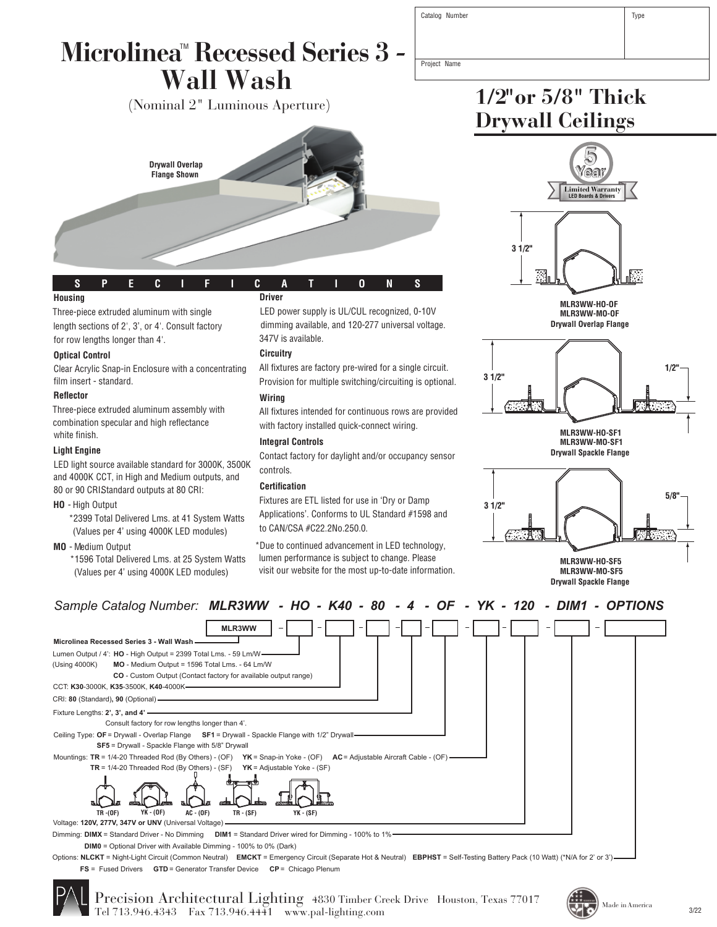| Catalog Number |  | Type |
|----------------|--|------|
|----------------|--|------|

### Microlinea™ Recessed Series 3 *-***Wall Wash**

(Nominal 2" Luminous Aperture)



#### **S P E C I F I C A T I O N S**

#### **Housing**

Three-piece extruded aluminum with single length sections of 2', 3', or 4'. Consult factory for row lengths longer than 4'.

#### **Optical Control**

Clear Acrylic Snap-in Enclosure with a concentrating film insert - standard.

#### **Reflector**

Three-piece extruded aluminum assembly with combination specular and high reflectance white finish.

#### **Light Engine**

LED light source available standard for 3000K, 3500K and 4000K CCT, in High and Medium outputs, and 80 or 90 CRIStandard outputs at 80 CRI:

**HO** - High Output

\*2399 Total Delivered Lms. at 41 System Watts (Values per 4' using 4000K LED modules)

**MO** - Medium Output

\*1596 Total Delivered Lms. at 25 System Watts (Values per 4' using 4000K LED modules)

#### **Driver**

LED power supply is UL/CUL recognized, 0-10V dimming available, and 120-277 universal voltage. 347V is available.

#### **Circuitry**

All fixtures are factory pre-wired for a single circuit. Provision for multiple switching/circuiting is optional.

#### **Wiring**

All fixtures intended for continuous rows are provided with factory installed quick-connect wiring.

#### **Integral Controls**

Contact factory for daylight and/or occupancy sensor controls.

#### **Certification**

Fixtures are ETL listed for use in 'Dry or Damp Applications'. Conforms to UL Standard #1598 and to CAN/CSA #C22.2No.250.0.

\*Due to continued advancement in LED technology, lumen performance is subject to change. Please visit our website for the most up-to-date information.



**1/2"or 5/8" Thick**

**Drywall Ceilings**



**Drywall Overlap Flange**



**Drywall Spackle Flange MLR3WW-HO-SF1 MLR3WW-MO-SF1**





Voltage: **120V, 277V, 347V or UNV** (Universal Voltage)

**DIM1** = Standard Driver wired for Dimming - 100% to 1% Dimming: **DIMX** = Standard Driver - No Dimming

**DIM0** = Optional Driver with Available Dimming - 100% to 0% (Dark)

Options: **NLCKT** = Night-Light Circuit (Common Neutral) **EMCKT** = Emergency Circuit (Separate Hot & Neutral) **EBPHST** = Self-Testing Battery Pack (10 Watt) (\*N/A for 2' or 3') **FS** = Fused Drivers **GTD** = Generator Transfer Device **CP** = Chicago Plenum



Precision Architectural Lighting 4830 Timber Creek Drive Houston, Texas 77017 Tel 713.946.4343 Fax 713.946.4441 www.pal-lighting.com



Project Name